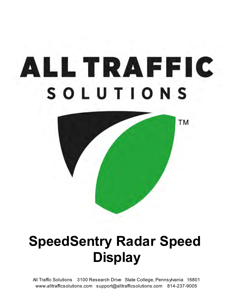# ALL TRAFFIC SOLUTIONS



### **SpeedSentry Radar Speed Display**

All Traffic Solutions 3100 Research Drive State College, Pennsylvania 16801 www.alltrafficsolutions.com support@alltrafficsolutions.com 814-237-9005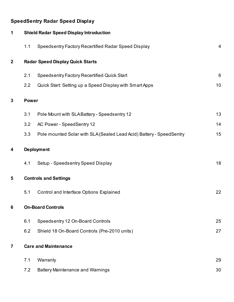#### **SpeedSentry Radar Speed Display**

| 1                |                          | <b>Shield Radar Speed Display Introduction</b>                       |    |  |  |  |
|------------------|--------------------------|----------------------------------------------------------------------|----|--|--|--|
|                  | 1.1                      | Speedsentry Factory Recertified Radar Speed Display                  | 4  |  |  |  |
| $\boldsymbol{2}$ |                          | <b>Radar Speed Display Quick Starts</b>                              |    |  |  |  |
|                  | 2.1                      | <b>Speedsentry Factory Recertified Quick Start</b>                   | 6  |  |  |  |
|                  | 2.2                      | Quick Start: Setting up a Speed Display with Smart Apps              | 10 |  |  |  |
| 3                | <b>Power</b>             |                                                                      |    |  |  |  |
|                  | 3.1                      | Pole Mount with SLABattery - Speedsentry 12                          | 13 |  |  |  |
|                  | 3.2                      | AC Power - SpeedSentry 12                                            | 14 |  |  |  |
|                  | 3.3                      | Pole mounted Solar with SLA (Sealed Lead Acid) Battery - SpeedSentry | 15 |  |  |  |
| 4                | <b>Deployment</b>        |                                                                      |    |  |  |  |
|                  | 4.1                      | Setup - Speedsentry Speed Display                                    | 18 |  |  |  |
| 5                |                          | <b>Controls and Settings</b>                                         |    |  |  |  |
|                  | 5.1                      | Control and Interface Options Explained                              | 22 |  |  |  |
| 6                | <b>On-Board Controls</b> |                                                                      |    |  |  |  |
|                  | 6.1                      | Speedsentry 12 On-Board Controls                                     | 25 |  |  |  |
|                  | 6.2                      | Shield 18 On-Board Controls (Pre-2010 units)                         | 27 |  |  |  |
| 7                |                          | <b>Care and Maintenance</b>                                          |    |  |  |  |
|                  | 7.1                      | Warranty                                                             | 29 |  |  |  |
|                  | 7.2                      | <b>Battery Maintenance and Warnings</b>                              | 30 |  |  |  |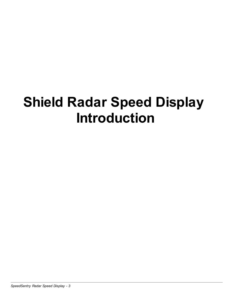## **Shield Radar Speed Display Introduction**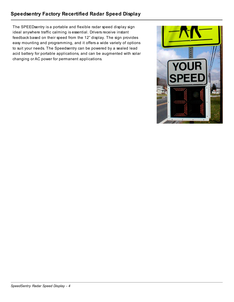#### **Speedsentry Factory Recertified Radar Speed Display**

The SPEEDsentry is a portable and flexible radar speed display sign ideal anywhere traffic calming is essential. Drivers receive instant feedback based on their speed from the 12" display. The sign provides easy mounting and programming, and it offers a wide variety of options to suit your needs. The Speedsentry can be powered by a sealed lead acid battery for portable applications, and can be augmented with solar changing or AC power for permanent applications.

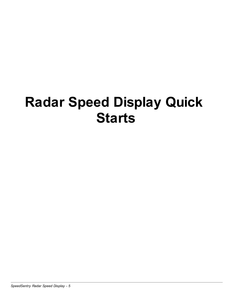### **Radar Speed Display Quick Starts**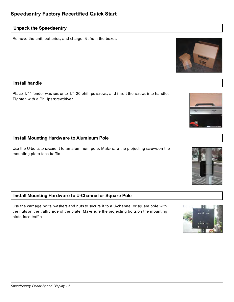#### **Unpack the Speedsentry**

Remove the unit, batteries, and charger kit from the boxes.

#### **Install handle**

Place 1/4" fender washers onto 1/4-20 phillips screws, and insert the screws into handle. Tighten with a Philips screwdriver.

#### **Install Mounting Hardware to Aluminum Pole**

Use the U-bolts to secure it to an aluminum pole. Make sure the projecting screws on the mounting plate face traffic.

#### **Install Mounting Hardware to U-Channel or Square Pole**

Use the carriage bolts, washers and nuts to secure it to a U-channel or square pole with the nuts on the traffic side of the plate. Make sure the projecting bolts on the mounting plate face traffic.







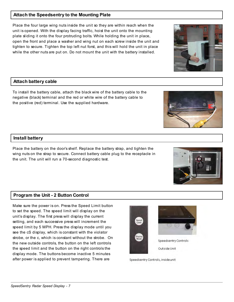#### **Attach the Speedsentry to the Mounting Plate**

Place the four large wing nuts inside the unit so they are within reach when the unit is opened. With the display facing traffic, hoist the unit onto the mounting plate sliding it onto the four protruding bolts. While holding the unit in place, open the front and place a washer and wing nut on each screw inside the unit and tighten to secure. Tighten the top left nut forst, and this will hold the unit in place while the other nuts are put on. Do not mount the unit with the battery installed.

#### **Attach battery cable**

To install the battery cable, attach the black wire of the battery cable to the negative (black) terminal and the red or white wire of the battery cable to the positive (red) terminal. Use the supplied hardware.

#### **Install battery**

Place the battery on the door's shelf. Replace the battery strap, and tighten the wing nuts on the strap to secure. Connect battery cable plug to the receptacle in the unit. The unit will run a 70-second diagnostic test.

#### **Program the Unit - 2 Button Control**

Make sure the power is on. Press the Speed Limit button to set the speed. The speed limit will display on the unit's display. The first press will display the current setting, and each successive press will increment the speed limit by 5 MPH. Press the display mode until you see the cS display, which is constant with the violator strobe, or the c, which is constant without the strobe. On the new outside controls, the button on the left controls the speed limit and the button on the right controls the display mode. The buttons become inactive 5 minutes after power is applied to prevent tampering. There are





Speedsentry Controls Outside Unit

Speedsentry Controls, insideunit





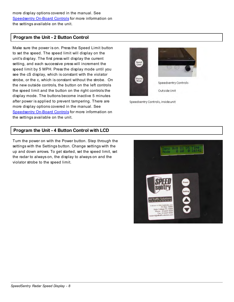more display options covered in the manual. See Speedsentry On-Board Controls for more information on the settings available on the unit.

#### **Program the Unit - 2 Button Control**

Make sure the power is on. Press the Speed Limit button to set the speed. The speed limit will display on the unit's display. The first press will display the current setting, and each successive press will increment the speed limit by 5 MPH. Press the display mode until you see the cS display, which is constant with the violator strobe, or the c, which is constant without the strobe. On the new outside controls, the button on the left controls the speed limit and the button on the right controls the display mode. The buttons become inactive 5 minutes after power is applied to prevent tampering. There are more display options covered in the manual. See Speedsentry On-Board Controls for more information on the settings available on the unit.

#### **Program the Unit - 4 Button Control with LCD**

Turn the power on with the Power button. Step through the settings with the Settings button. Change settings with the up and down arrows. To get started, set the speed limit, set the radar to always on, the display to always on and the violator strobe to the speed limit.



Speedsentry Controls, insideunit

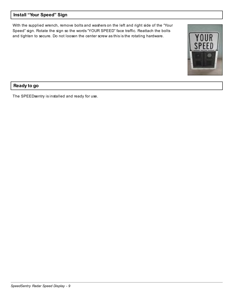#### **Install "Your Speed" Sign**

With the supplied wrench, remove bolts and washers on the left and right side of the "Your Speed" sign. Rotate the sign so the words "YOUR SPEED" face traffic. Reattach the bolts and tighten to secure. Do not loosen the center screw as this is the rotating hardware.



#### **Ready to go**

The SPEEDsentry is installed and ready for use.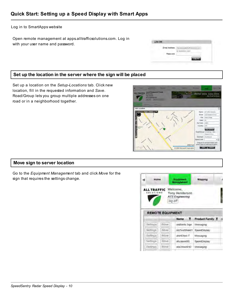Log in to SmartApps website

Open remote management at apps.alltrafficsolutions.com. Log in with your user name and password.

#### **Set up the location in the server where the sign will be placed**

Set up a location on the *Setup-Locations* tab. Click new location, fill in the requested information and *Save*. Road/Group lets you group multiple addresses on one road or in a neighborhood together.



LOG ON

**Email Accress** Pais-ord

#### **Move sign to server location**

Go to the *Equipment Management* tab and click *Move* for the sign that requires the settings change.

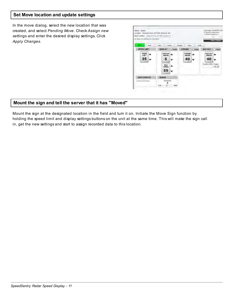#### **Set Move location and update settings**

In the move dialog, select the new location that was created, and select *Pending Move*. Check *Assign new settings* and enter the desired display settings. Click *Apply Changes*.

| Name: student<br>Louisian Research Days, All Traffic Bolutions (III)<br>New Location - Present Direct Al Traffic Excess (F. F.<br>of Assignment artitings for real booting? |                                    |                        | LashLogin 2/14/2011 5:26<br>It Ventrey Conferences<br>Effective QuintTimes<br><b>WELFALL</b> |
|-----------------------------------------------------------------------------------------------------------------------------------------------------------------------------|------------------------------------|------------------------|----------------------------------------------------------------------------------------------|
| -<br><b>Birth Links</b>                                                                                                                                                     | <b>Toyle</b><br><b>CT Linking</b>  | <b>Longitude</b>       |                                                                                              |
| <b>SPEED LIMT</b>                                                                                                                                                           | <b>DISPLAY</b><br><b>C. Enable</b> | <b>STROBE</b>          | <b>AUX OUT</b><br>< 1000<br>704466                                                           |
| <b>SPEED</b><br>LIMIT                                                                                                                                                       | DISPLAY<br>ABOVE                   | <b>STROBE</b><br>ABOVE | <b>AUX OUT</b><br><b>ABOVE</b>                                                               |
| 35                                                                                                                                                                          | 5                                  | 40                     | 40                                                                                           |
|                                                                                                                                                                             | MAX<br><b>SPEED</b>                |                        | Duseon After Troper<br>1996.37<br><b>Service Control</b>                                     |
|                                                                                                                                                                             | 55                                 |                        | <b>Silvers</b>                                                                               |
| <b>DIGIT DISPLAY</b>                                                                                                                                                        | <b>RADAR</b>                       | <b>STATISTICS</b>      |                                                                                              |
| a) North Frank Forest                                                                                                                                                       | Seminity  <br>Line:<br>flight      |                        |                                                                                              |

#### **Mount the sign and tell the server that it has "Moved"**

Mount the sign at the designated location in the field and turn it on. Initiate the Move Sign function by holding the speed limit and display settings buttons on the unit at the same time. This will make the sign call in, get the new settings and start to assign recorded data to this location.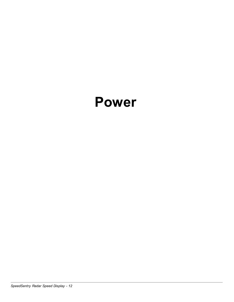### **Power**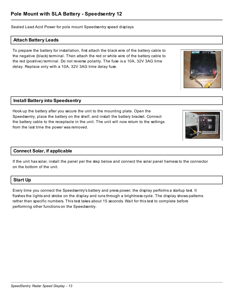Sealed Lead Acid Power for pole mount Speedsentry speed displays

#### **Attach Battery Leads**

To prepare the battery for installation, first attach the black wire of the battery cable to the negative (black) terminal. Then attach the red or white wire of the battery cable to the red (positive) terminal. Do not reverse polarity. The fuse is a 10A, 32V 3AG time delay. Replace only with a 10A, 32V 3AG time delay fuse.

#### **Install Battery into Speedsentry**

Hook up the battery after you secure the unit to the mounting plate. Open the Speedsentry, place the battery on the shelf, and install the battery bracket. Connect the battery cable to the receptacle in the unit. The unit will now return to the settings from the last time the power was removed.

#### **Connect Solar, if applicable**

If the unit has solar, install the panel per the step below and connect the solar panel harness to the connector on the bottom of the unit.

#### **Start Up**

Every time you connect the Speedsentry's battery and press power, the display performs a startup test. It flashes the lights and strobe on the display and runs through a brightness cycle. The display shows patterns rather than specific numbers. This test takes about 15 seconds. Wait for this test to complete before performing other functions on the Speedsentry.



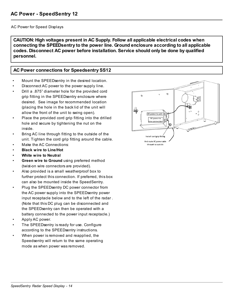#### AC Power for Speed Displays

**CAUTION: High voltages present in AC Supply. Follow all applicable electrical codes when connecting the SPEEDsentry to the power line. Ground enclosure according to all applicable codes. Disconnect AC power before installation. Service should only be done by qualified personnel.** 

#### **AC Power connections for Speedsentry SS12**

- Mount the SPEEDsentry in the desired location.
- Disconnect AC power to the power supply line.
- Drill a .875" diameter hole for the provided cord grip fitting in the SPEEDsentry enclosure where desired. See image for recommended location (placing the hole in the back lid of the unit will allow the front of the unit to swing open).
- Place the provided cord grip fitting into the drilled hole and secure by tightening the nut on the inside.
- Bring AC line through fitting to the outside of the unit. Tighten the cord grip fitting around the cable.
- Make the AC Connections:
- **Black wire to Line/Hot**
- **White wire to Neutral**
- **Green wire to Ground** using preferred method (twist-on wire connectors are provided).
- Also provided is a small weatherproof box to further protect this connection. If preferred, this box can also be mounted inside the SpeedSentry.
- Plug the SPEEDsentry DC power connector from the AC power supply into the SPEEDsentry power input receptacle below and to the left of the radar . (Note that this DC plug can be disconnected and the SPEEDsentry can then be operated with a battery connected to the power input receptacle.)
- Apply AC power.
- The SPEEDsentry is ready for use. Configure according to the SPEEDsentry instructions.
- When power is removed and reapplied, the Speedsentry will return to the same operating mode as when power was removed.

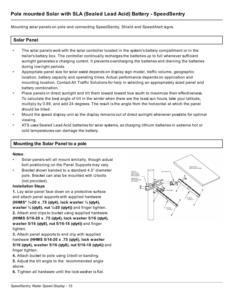Mounting solar panels on pole and connecting SpeedSentry, Shield and SpeedAlert signs.

#### **Solar Panel**

- The solar panels work with the solar controller located in the system's battery compartment or in the trailer's battery box. The controller continually recharges the batteries up to full whenever sufficient sunlight generates a charging current. It prevents overcharging the batteries and draining the batteries during low-light periods.
- Appropriate panel size for solar assist depends on display sign model, traffic volume, geographic location, battery capacity and operating times. Actual performance depends on application and mounting location. Contact All Traffic Solutions for help in selecting an appropriately sized panel and battery combination.
- Place panels in direct sunlight and tilt them toward toward true south to maximize their effectiveness. To calculate the best angle of tilt in the winter when there are the least sun hours, take your latitude, multiply by 0.89, and add 24 degrees. The result is the angle from the horizontal at which the panel should be tilted.
- Mount the speed display unit so the display remains out of direct sunlight whenever possible for optimal viewing.
- ATS uses Sealed Lead Acid batteries for solar systems, as charging lithium batteries in extreme hot or cold temperatures can damage the battery.

#### **Mounting the Solar Panel to a pole**

#### **Notes**:

- Solar panels will all mount similarly, though actual bolt positioning on the Panel Supports may vary.
- Bracket shown banded to a standard 4.5" diameter pole. Bracket can also be mounted with U-bolts (not provided).

#### **Installation Steps**

**1.** Lay solar panel face down on a protective surface and attach panel supports with supplied hardware **(HHMS\* ¼-20 x .75 (qty4), lock washer ¼ (qty4), washer ¼ (qty8), nut ¼-20 (qty4))** and finger tighten. **2.** Attach end clips to bucket using supplied hardware **(HHMS 5/16-20 x .75 (qty4), lock washer 5/16 (qty4), washer 5/16 (qty8), nut 5/16-18 (qty4))** and finger tighten.

**3.** Attach panel supports to end clip with supplied hardware **(HHMS 5/16-20 x .75 (qty4), lock washer 5/16 (qty4), washer 5/16 (qty8), nut 5/16-18 (qty4))** and finger tighten.

**4.** Attach bucket to pole using U-bolt or banding.

**5.** Adjust the tilt angle to the recommended angle above.

**6.** Tighten all hardware until the lock washer is flat.

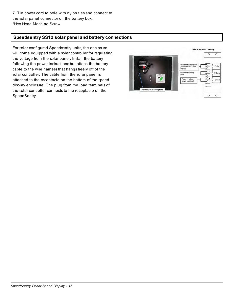#### **Speedsentry SS12 solar panel and battery connections**

For solar configured Speedsentry units, the enclosure will come equipped with a solar controller for regulating the voltage from the solar panel. Install the battery following the power instructions but attach the battery cable to the wire harness that hangs freely off of the solar controller. The cable from the solar panel is attached to the receptacle on the bottom of the speed display enclosure. The plug from the load terminals of the solar controller connects to the receptacle on the SpeedSentry.

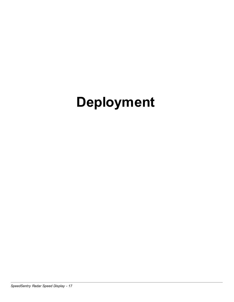# **Deployment**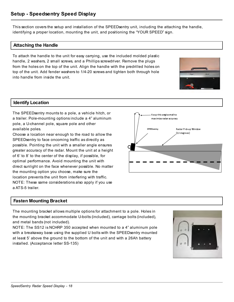This section covers the setup and installation of the SPEEDsentry unit, including the attaching the handle, identifying a proper location, mounting the unit, and positioning the "YOUR SPEED" sign.

#### **Attaching the Handle**

To attach the handle to the unit for easy carrying, use the included molded plastic handle, 2 washers, 2 small screws, and a Phillips screwdriver. Remove the plugs from the holes on the top of the unit. Align the handle with the predrilled holes on top of the unit. Add fender washers to 1/4-20 screws and tighten both through hole into handle from inside the unit.



#### **Identify Location**

The SPEEDsentry mounts to a pole, a vehicle hitch, or a trailer. Pole-mounting options include a 4" aluminum pole, a U-channel pole, square pole and other available poles.

Choose a location near enough to the road to allow the SPEEDsentry to face oncoming traffic as directly as possible. Pointing the unit with a smaller angle ensures greater accuracy of the radar. Mount the unit at a height of 6' to 8' to the center of the display, if possible, for optimal performance. Avoid mounting the unit with direct sunlight on the face whenever possible. No matter the mounting option you choose, make sure the location prevents the unit from interfering with traffic. NOTE: These same considerations also apply if you use a ATS-5 trailer.

#### **Fasten Mounting Bracket**

The mounting bracket allows multiple options for attachment to a pole. Holes in the mounting bracket accommodate U-bolts (included), carriage bolts (included), and metal bands (not included).

NOTE: The SS12 is NCHRP 350 accepted when mounted to a 4" aluminum pole with a breakaway base using the supplied U bolts with the SPEEDsentry mounted at least 5' above the ground to the bottom of the unit and with a 26Ah battery installed. (Acceptance letter SS-135)



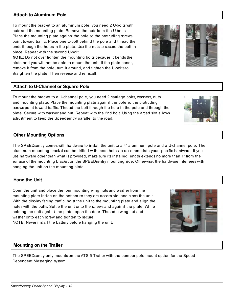#### **Attach to Aluminum Pole**

To mount the bracket to an aluminum pole, you need 2 U-bolts with nuts and the mounting plate. Remove the nuts from the U-bolts. Place the mounting plate against the pole so the protruding screws point toward traffic. Place one U-bolt behind the pole and thread the ends through the holes in the plate. Use the nuts to secure the bolt in place. Repeat with the second U-bolt.

**NOTE**: Do not over tighten the mounting bolts because it bends the plate and you will not be able to mount the unit. If the plate bends, remove it from the pole, turn it around, and tighten the U-bolts to straighten the plate. Then reverse and reinstall.

#### **Attach to U-Channel or Square Pole**

To mount the bracket to a U-channel pole, you need 2 carriage bolts, washers, nuts, and mounting plate. Place the mounting plate against the pole so the protruding screws point toward traffic. Thread the bolt through the hole in the pole and through the plate. Secure with washer and nut. Repeat with the 2nd bolt. Using the arced slot allows adjustment to keep the Speedsentry parallel to the road.

#### **Other Mounting Options**

The SPEEDsentry comes with hardware to install the unit to a 4" aluminum pole and a U-channel pole. The aluminum mounting bracket can be drilled with more holes to accommodate your specific hardware. If you use hardware other than what is provided, make sure its installed length extends no more than 1" from the surface of the mounting bracket on the SPEEDsentry mounting side. Otherwise, the hardware interferes with hanging the unit on the mounting plate.

#### **Hang the Unit**

Open the unit and place the four mounting wing nuts and washer from the mounting plate inside on the bottom so they are accessible, and close the unit. With the display facing traffic, hoist the unit to the mounting plate and align the holes with the bolts. Settle the unit onto the screws and against the plate. While holding the unit against the plate, open the door. Thread a wing nut and washer onto each screw and tighten to secure.

NOTE: Never install the battery before hanging the unit.

#### **Mounting on the Trailer**

*SpeedSentry Radar Speed Display - 19*

The SPEEDsentry only mounts on the ATS-5 Trailer with the bumper pole mount option for the Speed Dependent Messaging system.





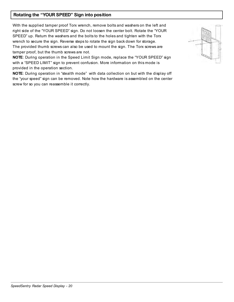#### **Rotating the "YOUR SPEED" Sign into position**

With the supplied tamper proof Torx wrench, remove bolts and washers on the left and right side of the "YOUR SPEED" sign. Do not loosen the center bolt. Rotate the "YOUR SPEED" up. Return the washers and the bolts to the holes and tighten with the Torx wrench to secure the sign. Reverse steps to rotate the sign back down for storage. The provided thumb screws can also be used to mount the sign. The Torx screws are tamper proof, but the thumb screws are not.

**NOTE**: During operation in the Speed Limit Sign mode, replace the "YOUR SPEED" sign with a "SPEED LIMIT" sign to prevent confusion. More information on this mode is provided in the operation section.

**NOTE**: During operation in "stealth mode" with data collection on but with the display off the "your speed" sign can be removed. Note how the hardware is assembled on the center screw for so you can reassemble it correctly.

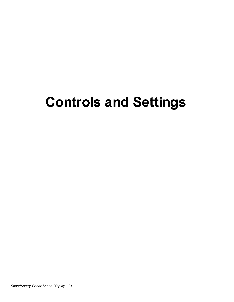## **Controls and Settings**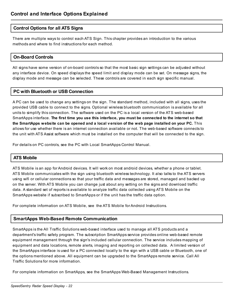#### **Control Options for all ATS Signs**

There are multiple ways to control each ATS Sign. This chapter provides an introduction to the various methods and where to find instructions for each method.

#### **On-Board Controls**

All signs have some version of on-board controls so that the most basic sign settings can be adjusted without any interface device. On speed displays the speed limit and display mode can be set. On message signs, the display mode and message can be selected. These controls are covered in each sign specific manual.

#### **PC with Bluetooth or USB Connection**

A PC can be used to change any settings on the sign. The standard method, included with all signs, uses the provided USB cable to connect to the signs. Optional wireless bluetooth communication is available for all units to simplify this connection. The software used on the PC is a local version of the ATS web-based SmartApps interface. **The first time you use this interface, you must be connected to the internet so that the SmartApps website can be opened and a local v ersion of the web page installed on your PC.** This allows for use whether there is an internet connection available or not. The web-based software connects to the unit with ATS Assist software which must be installed on the computer that will be connected to the sign.

For details on PC controls, see the PC with Local SmartApps Control Manual.

#### **ATS Mobile**

ATS Mobile is an app for Android devices. It will work on most android devices, whether a phone or tablet. ATS Mobile communicates with the sign using bluetooth wireless technology. It also talks to the ATS servers using wifi or cellular connections so that your traffic data and messages are stored, managed and backed up on the server. With ATS Mobile you can change just about any setting on the signs and download traffic data. A standard set of reports is available to analyze traffic data collected using ATS Mobile on the SmartApps website if subscribed to SmartApps or if the unit has the traffic data option.

For complete information on ATS Mobile, see the ATS Mobile for Android Instructions.

#### **SmartApps Web-Based Remote Communication**

SmartApps is the All Traffic Solutions web-based interface used to manage all ATS products and a department's traffic safety program. The subscription SmartApps service provides online web-based remote equipment management through the sign's included cellular connection. The service includes mapping of equipment and data locations, remote alerts, imaging and reporting on collected data. A limited version of the SmartApps interface is used for a PC connected locally to the sign with a USB cable or Bluetooth, one of the options mentioned above. All equipment can be upgraded to the SmartApps remote service. Call All Traffic Solutions for more information.

For complete information on SmartApps, see the SmartApps Web-Based Management Instructions.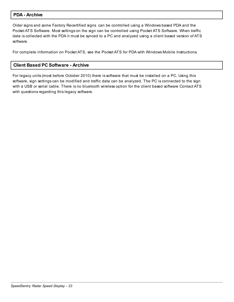#### **PDA - Archive**

Older signs and some Factory Recertified signs can be controlled using a Windows based PDA and the Pocket ATS Software. Most settings on the sign can be controlled using Pocket ATS Software. When traffic data is collected with the PDA it must be synced to a PC and analyzed using a client based version of ATS software.

For complete information on Pocket ATS, see the Pocket ATS for PDA with Windows Mobile Instructions.

#### **Client Based PC Software - Archive**

For legacy units (most before October 2010) there is software that must be installed on a PC. Using this software, sign settings can be modified and traffic data can be analyzed. The PC is connected to the sign with a USB or serial cable. There is no bluetooth wireless option for the client based software Contact ATS with questions regarding this legacy software.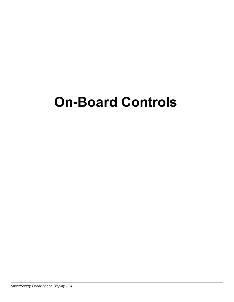### **On-Board Controls**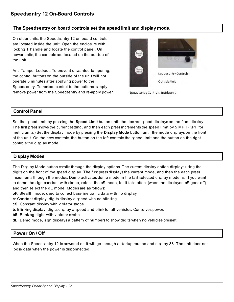#### **The Speedsentry on board controls set the speed limit and display mode.**

On older units, the Speedsentry 12 on-board controls are located inside the unit. Open the enclosure with locking T handle and locate the control panel. On newer units, the controls are located on the outside of the unit.

Anti-Tamper Lockout: To prevent unwanted tampering, the control buttons on the outside of the unit will not operate 5 minutes after applying power to the Speedsentry. To restore control to the buttons, simply remove power from the Speedsentry and re-apply power.



Speedsentry Controls, insideunit

#### **Control Panel**

Set the speed limit by pressing the **Speed Limit** button until the desired speed displays on the front display. The first press shows the current setting, and then each press increments the speed limit by 5 MPH (KPH for metric units.) Set the display mode by pressing the **Display Mode** button until the mode displays on the front of the unit. On the new controls, the button on the left controls the speed limit and the button on the right controls the display mode.

#### **Display Modes**

The Display Mode button scrolls through the display options. The current display option displays using the digits on the front of the speed display. The first press displays the current mode, and then the each press increments through the modes. Demo activates demo mode in the last selected display mode, so if you want to demo the sign constant with strobe, select the cS mode, let it take effect (when the displayed cS goes off) and then select the dE mode. Modes are as follows:

- **oF**: Stealth mode, used to collect baseline traffic data with no display
- **c**: Constant display, digits display a speed with no blinking
- **cS**: Constant display with violator strobe
- **b**: Blinking display, digits display a speed and blink for all vehicles. Conserves power.
- **bS**: Blinking digits with violator strobe
- **dE**: Demo mode, sign displays a pattern of numbers to show digits when no vehicles present.

#### **Power On / Off**

When the Speedsentry 12 is powered on it will go through a startup routine and display 88. The unit does not loose data when the power is disconnected.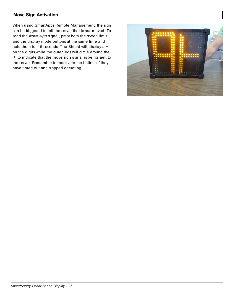#### **Move Sign Activation**

When using SmartApps Remote Management, the sign can be triggered to tell the server that is has moved. To send the *move sign* signal, press both the speed limit and the display mode buttons at the same time and hold them for 15 seconds. The Shield will display a + on the digits while the outer leds will circle around the '+' to indicate that the move sign signal is being sent to the server. Remember to reactivate the buttons if they have timed out and stopped operating.

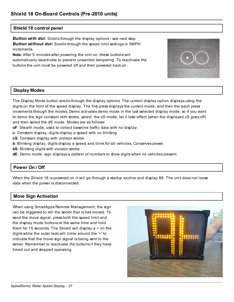#### **Shield 18 control panel**

*Button with dot:* Scrolls through the display options - see next step. *Button without dot:* Scrolls through the speed limit settings in 5MPH increments.

**Note:** After 5 minutes after powering the unit on, these buttons will automatically deactivate to prevent unwanted tampering. To reactivate the buttons the unit must be powered off and then powered back on.



#### **Display Modes**

The Display Mode button scrolls through the display options. The current display option displays using the digits on the front of the speed display. The first press displays the current mode, and then the each press increments through the modes. Demo activates demo mode in the last selected display mode, so if you want to demo the sign constant with strobe, select the cS mode, let it take effect (when the displayed cS goes off) and then select the dE mode. Modes are as follows:

- **oF**: Stealth mode, used to collect baseline traffic data with no display
- **c**: Constant display, digits display a speed with no blinking
- **cS**: Constant display with violator strobe
- **b**: Blinking display, digits display a speed and blink for all vehicles. Conserves power.
- **bS**: Blinking digits with violator strobe
- **dE**: Demo mode, sign displays a pattern of numbers to show digits when no vehicles present.

#### **Power On / Off**

When the Shield 18 is powered on it will go through a startup routine and display 88. The unit does not loose data when the power is disconnected.

#### **Move Sign Activation**

When using SmartApps Remote Management, the sign can be triggered to tell the server that is has moved. To send the move signal, press both the speed limit and the display mode buttons at the same time and hold them for 15 seconds. The Shield will display  $a + on$  the digits while the outer leds will circle around the '+' to indicate that the move sign signal is being sent to the server. Remember to reactivate the buttons if they have timed out and stopped operating.

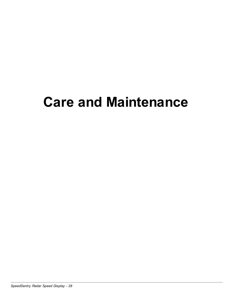### **Care and Maintenance**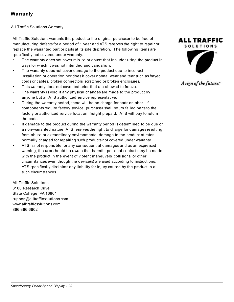#### All Traffic Solutions Warranty

All Traffic Solutions warrants this product to the original purchaser to be free of manufacturing defects for a period of 1 year and ATS reserves the right to repair or replace the warranted part or parts at its sole discretion. The following items are specifically not covered under warranty.

- The warranty does not cover misuse or abuse that includes using the product in ways for which it was not intended and vandalism.
- The warranty does not cover damage to the product due to incorrect installation or operation nor does it cover normal wear and tear such as frayed cords or cables, broken connectors, scratched or broken enclosures.
- This warranty does not cover batteries that are allowed to freeze.
- The warranty is void if any physical changes are made to the product by anyone but an ATS authorized service representative.
- During the warranty period, there will be no charge for parts or labor. If components require factory service, purchaser shall return failed parts to the factory or authorized service location, freight prepaid. ATS will pay to return the parts.
- If damage to the product during the warranty period is determined to be due of a non-warranted nature, ATS reserves the right to charge for damages resulting from abuse or extraordinary environmental damage to the product at rates normally charged for repairing such products not covered under warranty
- ATS is not responsible for any consequential damages and as an expressed warning, the user should be aware that harmful personal contact may be made with the product in the event of violent maneuvers, collisions, or other circumstances even though the device(s) are used according to instructions. ATS specifically disclaims any liability for injury caused by the product in all such circumstances.

All Traffic Solutions 3100 Research Drive State College, PA 16801 support@alltrafficsolutions.com www.alltrafficsolutions.com 866-366-6602



```
A sign of the future."
```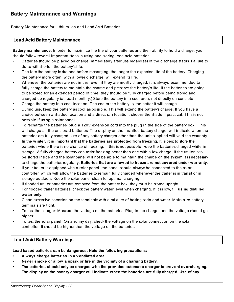Battery Maintenance for Lithium Ion and Lead Acid Batteries

#### **Lead Acid Battery Maintenance**

**Battery maintenance**: In order to maximize the life of your batteries and their ability to hold a charge, you should follow several important steps in using and storing lead acid batteries

- Batteries should be placed on charge immediately after use regardless of the discharge status. Failure to do so will shorten the battery's life.
- The less the battery is drained before recharging, the longer the expected life of the battery. Charging the battery more often, with a lower discharge, will extend its life.
- Whenever the batteries are not in use, even if they are mostly charged, it is always recommended to fully charge the battery to maintain the charge and preserve the battery's life. If the batteries are going to be stored for an extended period of time, they should be fully charged before being stored and charged up regularly (at least monthly.) Store the battery in a cool area, not directly on concrete.
- Charge the battery in a cool location. The cooler the battery is, the better it will charge.
- During use, keep the battery as cool as possible. This will extend the battery's charge. If you have a choice between a shaded location and a direct sun location, choose the shade if practical. This is not possible if using a solar panel.
- To recharge the batteries, plug a 120V extension cord into the plug in the side of the battery box. This will charge all the enclosed batteries. The display on the installed battery charger will indicate when the batteries are fully charged. Use of any battery charger other than the unit supplied will void the warranty.
- **In the winter, it is important that the batteries are protected from freezing.** It is best to store the batteries where there is no chance of freezing. If this is not possible, keep the batteries charged while in storage. A fully charged battery can resist freezing better than one with a low charge. If the trailer is to be stored inside and the solar panel will not be able to maintain the charge on the system it is necessary to charge the batteries regularly. **Batteries that are allowed to freeze are not cov ered under warranty.**
- If your trailer is equipped with a solar panel, the panel should always be connected to the solar controller, which will allow the batteries to remain fully charged whenever the trailer is in transit or in storage outdoors. Keep the solar panel clean for optimal charging.
- If flooded trailer batteries are removed from the battery box, they must be stored upright.
- For flooded trailer batteries, check the battery water level when charging. If it is low, fill **using distilled water only**.
- Clean excessive corrosion on the terminals with a mixture of baking soda and water. Make sure battery terminals are tight.
- To test the charger: Measure the voltage on the batteries. Plug in the charger and the voltage should go higher.
- To test the solar panel: On a sunny day, check the voltage on the solar connection on the solar controller. It should be higher than the voltage on the batteries.

#### **Lead Acid Battery Warnings**

**Lead based batteries can be dangerous. Note the following precautions:**

- **Always charge batteries in a v entilated area.**
- **Nev er smoke or allow a spark or fire in the v icinity of a charging battery.**
- **The batteries should only be charged with the prov ided automatic charger to prev ent ov ercharging. The display on the battery charger will indicate when the batteries are fully charged. Use of any**